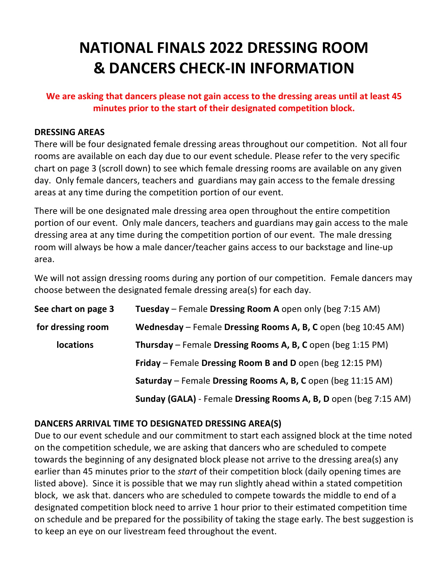# **NATIONAL FINALS 2022 DRESSING ROOM & DANCERS CHECK-IN INFORMATION**

# **We are asking that dancers please not gain access to the dressing areas until at least 45 minutes prior to the start of their designated competition block.**

#### **DRESSING AREAS**

There will be four designated female dressing areas throughout our competition. Not all four rooms are available on each day due to our event schedule. Please refer to the very specific chart on page 3 (scroll down) to see which female dressing rooms are available on any given day. Only female dancers, teachers and guardians may gain access to the female dressing areas at any time during the competition portion of our event.

There will be one designated male dressing area open throughout the entire competition portion of our event. Only male dancers, teachers and guardians may gain access to the male dressing area at any time during the competition portion of our event. The male dressing room will always be how a male dancer/teacher gains access to our backstage and line-up area.

We will not assign dressing rooms during any portion of our competition. Female dancers may choose between the designated female dressing area(s) for each day.

| See chart on page 3 | Tuesday - Female Dressing Room A open only (beg 7:15 AM)         |
|---------------------|------------------------------------------------------------------|
| for dressing room   | Wednesday - Female Dressing Rooms A, B, C open (beg 10:45 AM)    |
| <b>locations</b>    | Thursday – Female Dressing Rooms A, B, C open (beg 1:15 PM)      |
|                     | Friday - Female Dressing Room B and D open (beg 12:15 PM)        |
|                     | Saturday - Female Dressing Rooms A, B, C open (beg 11:15 AM)     |
|                     | Sunday (GALA) - Female Dressing Rooms A, B, D open (beg 7:15 AM) |

# **DANCERS ARRIVAL TIME TO DESIGNATED DRESSING AREA(S)**

Due to our event schedule and our commitment to start each assigned block at the time noted on the competition schedule, we are asking that dancers who are scheduled to compete towards the beginning of any designated block please not arrive to the dressing area(s) any earlier than 45 minutes prior to the *start* of their competition block (daily opening times are listed above). Since it is possible that we may run slightly ahead within a stated competition block, we ask that. dancers who are scheduled to compete towards the middle to end of a designated competition block need to arrive 1 hour prior to their estimated competition time on schedule and be prepared for the possibility of taking the stage early. The best suggestion is to keep an eye on our livestream feed throughout the event.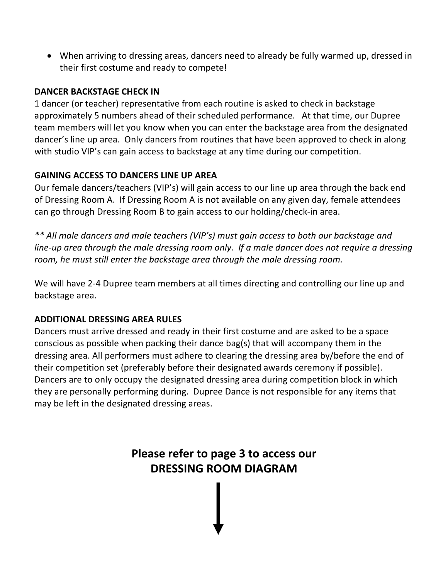• When arriving to dressing areas, dancers need to already be fully warmed up, dressed in their first costume and ready to compete!

### **DANCER BACKSTAGE CHECK IN**

1 dancer (or teacher) representative from each routine is asked to check in backstage approximately 5 numbers ahead of their scheduled performance. At that time, our Dupree team members will let you know when you can enter the backstage area from the designated dancer's line up area. Only dancers from routines that have been approved to check in along with studio VIP's can gain access to backstage at any time during our competition.

# **GAINING ACCESS TO DANCERS LINE UP AREA**

Our female dancers/teachers (VIP's) will gain access to our line up area through the back end of Dressing Room A. If Dressing Room A is not available on any given day, female attendees can go through Dressing Room B to gain access to our holding/check-in area.

*\*\* All male dancers and male teachers (VIP's) must gain access to both our backstage and line-up area through the male dressing room only. If a male dancer does not require a dressing room, he must still enter the backstage area through the male dressing room.* 

We will have 2-4 Dupree team members at all times directing and controlling our line up and backstage area.

# **ADDITIONAL DRESSING AREA RULES**

Dancers must arrive dressed and ready in their first costume and are asked to be a space conscious as possible when packing their dance bag(s) that will accompany them in the dressing area. All performers must adhere to clearing the dressing area by/before the end of their competition set (preferably before their designated awards ceremony if possible). Dancers are to only occupy the designated dressing area during competition block in which they are personally performing during. Dupree Dance is not responsible for any items that may be left in the designated dressing areas.

> **Please refer to page 3 to access our DRESSING ROOM DIAGRAM**